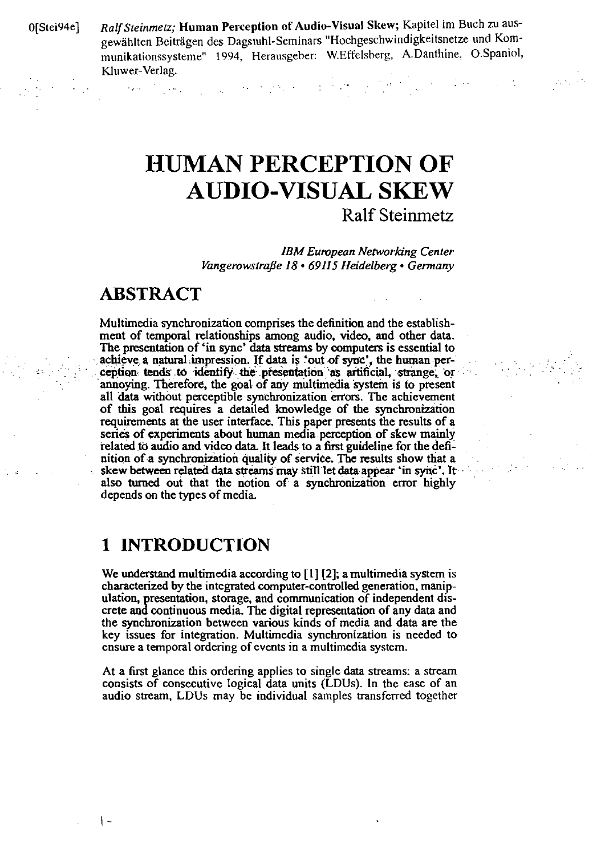$0$ [Stei $94e$ ]

Ralf Steinmetz; Human Perception of Audio-Visual Skew; Kapitel im Buch zu ausgewählten Beiträgen des Dagstuhl-Seminars "Hochgeschwindigkeitsnetze und Kommunikationssysteme" 1994, Herausgeber: W.Effelsberg, A.Danthine, O.Spaniol, Kluwer-Verlag.  $\label{eq:3.1} \frac{1}{2} \frac{1}{2} \left( \frac{1}{2} \left( \frac{1}{2} \left( \frac{1}{2} \right) \right) \right) \left( \frac{1}{2} \left( \frac{1}{2} \left( \frac{1}{2} \right) \right) \right) \left( \frac{1}{2} \left( \frac{1}{2} \left( \frac{1}{2} \right) \right) \right) \left( \frac{1}{2} \left( \frac{1}{2} \right) \right) \right) \left( \frac{1}{2} \left( \frac{1}{2} \left( \frac{1}{2} \right) \right) \right) \left( \frac{1}{2} \left$ 

 $\mathcal{A}^{\mathcal{A}}$  and  $\mathcal{A}^{\mathcal{A}}$  are the set of  $\mathcal{A}^{\mathcal{A}}$  . In the following

**HUMAN PERCEPTION OF AUDIO-VISUAL SKEW Ralf Steinmetz** 

> **IBM European Networking Center** Vangerowstraße 18 · 69115 Heidelberg · Germany

#### **ABSTRACT**

Multimedia synchronization comprises the definition and the establishment of temporal relationships among audio, video, and other data. The presentation of 'in sync' data streams by computers is essential to achieve a natural impression. If data is 'out of sync', the human perception tends to identify the presentation as artificial, strange, or<br>annoying. Therefore, the goal of any multimedia system is to present<br>all data without perceptible synchronization errors. The achievement of this goal requires a detailed knowledge of the synchronization requirements at the user interface. This paper presents the results of a series of experiments about human media perception of skew mainly related to audio and video data. It leads to a first guideline for the definition of a synchronization quality of service. The results show that a skew between related data streams may still let data appear 'in sync'. It also turned out that the notion of a synchronization error highly depends on the types of media.

## 1 INTRODUCTION

 $\vert -$ 

We understand multimedia according to  $[1] [2]$ ; a multimedia system is characterized by the integrated computer-controlled generation, manipulation, presentation, storage, and communication of independent discrete and continuous media. The digital representation of any data and the synchronization between various kinds of media and data are the key issues for integration. Multimedia synchronization is needed to ensure a temporal ordering of events in a multimedia system.

At a first glance this ordering applies to single data streams: a stream consists of consecutive logical data units (LDUs). In the ease of an audio stream, LDUs may be individual samples transferred together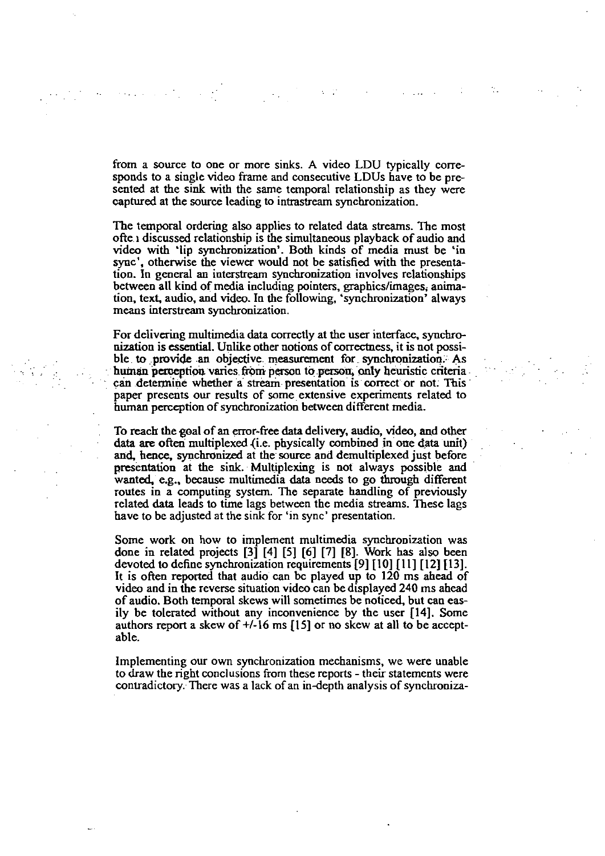from a source to one or more sinks. **A** video LDU typically corresponds to a single video frame and consecutive LDUs have to be presented at the sink with the same temporal relationship as they were captured at the source leading to intrastream synchronization.

The temporal ordering also applies to related data streams. The most ofte **I** discussed relationship is the simultaneous playback of audio and video with 'lip synchronization'. Both kinds of media must be 'in sync', otherwise the viewer would not be satisfied with the presentation. In general an interstream synchronization involves relationships between all kind of media including pointers, graphics/images, animation, text, audio, and video. In the following, 'synchronization' always means interstream synchronization.

For delivering multimedia data correctly at the user interface, synchronization is essential. Unlike other notions of correctness, it is not possi-<br>ble to provide an objective measurement for synchronization. As human perception varies from person to person, only heuristic criteria can determine whether a stream presentation is correct or not. This paper presents ow results of some extensive experiments related to human perception of synchronization between different media.

To reach the goal of an error-free data delivery, audia, video, and other data are often multiplexed (i.e. physically combined in one data unit) and, hence, synchronized at the source and demultiplexed just before presentation at the sink. Multiplexing is not always possible and wanted, e.g.. because multimedia **data** needs to go tbrough different routes in a computing system. The separate handling of previously related data leads to time lags between the media streams. These lags have to be adjusted at the sink for 'in sync' presentation.

Some work on how to implement multimedia synchronization was done in related projects [3] [4] **[5]** [6] [7] **[8].** Work has also been devoted to define synchronization requirements [9] [10] [11] [12] [13]. It is often reported that audio can bc played up to 120 ms ahead of video and in the reverse Situation video can be displayed 240 ms ahead of audio. Both temporal skews will sometimes be noticed, but can easily be tolerated without any inconvenience by the user [14]. Some authors report a skew of  $+/-16$  ms  $[15]$  or no skew at all to be acceptable.

Implementing our own synchronization mechanisms, we were unable to draw the nght conclusions from these reports - their Statements were contradictory. There was a lack of an in-depth analysis of synchroniza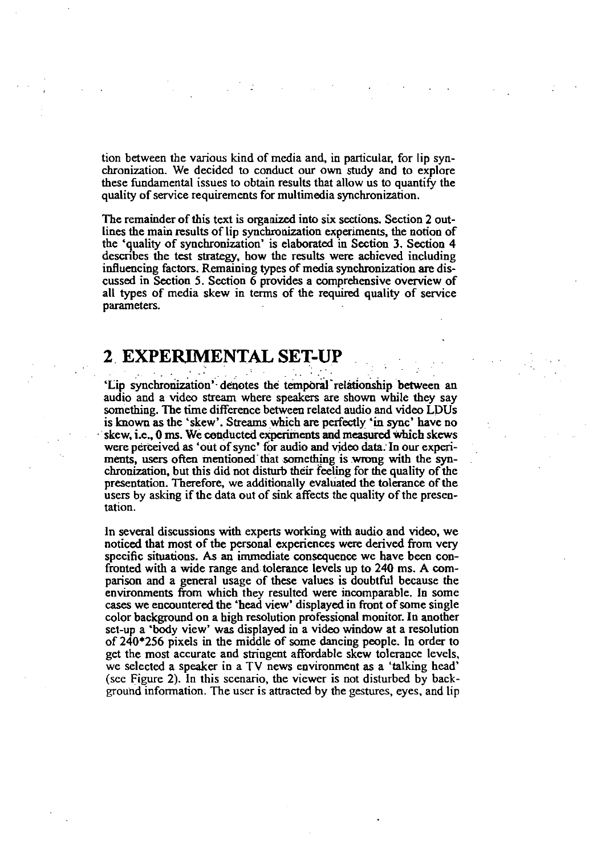tion between the various kind of media and, in particular, for lip synchronization. We decided to conduct our own study and to explore these fundamental issues to obtain results that allow us to quantify the quality of service requirements for multimedia synchronization.

The remainder of this text **is** organized into six sections. Section **2** outlines the main results of lip synchronization experiments. the notion of the 'quality of synchronization' is elaborated in Section 3. Section **4**  describes the test strategy, how the results were achieved including influencing factors. Remaining types of media synchronization are discussed in Section **5.** Section **6** provides a comprehensive overview of all types of media skew in terms of the required quality of service parameters.

# 2. **EXPERIMENTAL SET-UP**

'Lip synchronization' denotes the temporal relationship between an audio and a video stream where speakers are shown while they say something. The time difference between related audio and video LDUs is known **as** the 'skew'. Streams which **are** perfectly 'in sync' have no skew, i.e., 0 ms. We conducted experiments and measured which skews were perceived as 'out of sync' for audio and video data. In our experiments, users often mentioned that something is wrong with the synchronization, but this did not disturb their feeling for the quality of the presentation. Therefore, we additionally evaluated the tolerance of the users by asking if the data out of sink affects the quality of the presentation.

In several discussions with experts working with audio and video, we noticed that most of the personal experiences were derived from very specific situations. **As** an immediate consequence we have been confronted with a wide range and tolerance levels up to 240 ms. A comparison and a general usage of tbese values is doubtful because the environments from which they resulted were incomparable. In some cases we encountered the 'head view' displayed in front of some single color background on a high resolution professional monitor. In another set-up a 'body view' was displayed in a video window at a resolution of **240\*256** pixels in the rniddle of some dancing people. In order to get the rnost accurate and stringent affordable skew tolerance levels. we selected a speaker in a TV news environment as a 'talking head' (sec Figure **2).** In this scenario, the viewer is not disturbed by background information. The User is attracted by the gestures, eyes, and lip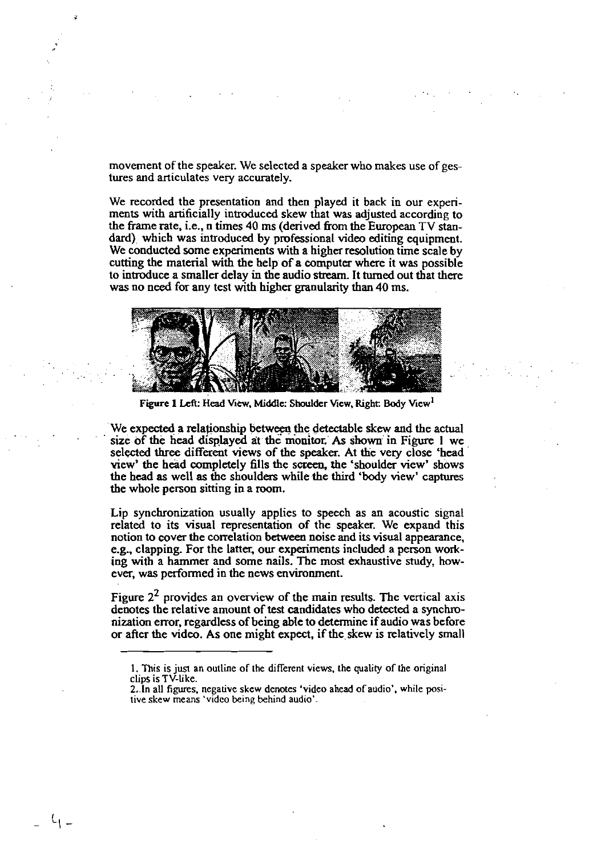movement of the speaker. We selected a speaker who makes use of gestures and articulates very accurately.

We recorded the presentation and then played it back in our experiments with artificially introduced skew that was adjusted according to the frame rate, i.e., n times **40** ms (derived frorn the European TV standard) which was introduced by professional video editing equipment. We conducted some experiments with a higher resolution time scale by cutting the material with the help of a computer where it was possible to introduce a smaller delay in the audio stream. It tumed out that there was no need for any test with higher granularity than **40** ms.



**Figure 1 Left: Head View, Middle: Shoulder View, Right: Body View<sup>1</sup>** 

We expected a relationship between the detectable skew and the actual size of the head displayed at the monitor. As shown in Figure 1 we selccted **three** different views of the speaker. At the very close 'head view' the head completely 611s the screen, the 'shoulder view' shows the head **as** well **as** the shoulders while the third 'body view' captures the whole person sitting in a room.

Lip synchronization usually applies to speech as an acoustic signal related to its visual representation of the speaker. We expand this notion to cover the correlation bctween noise and its visual appearance. e.g., clapping. For the latter, our experiments included a person working with a hammer and some nails. The most exhaustive study, however, was performed in the news environment.

Figure  $2<sup>2</sup>$  provides an overview of the main results. The vertical axis denotes the relative amount of **test** candidates who detected a synchronization emor. regardless of being able to determine if audio was before or after the video. As one might expect, if the skew is relatively small

 $c_{\rm L}$ 

**<sup>1.</sup> This is jusi an outline of the diiTerent views. the quality of the original clips is TV-Like.** 

**<sup>2..</sup>ln all figures. negative skew denotes 'video ahead of audio'. while positive skew rneans 'video being behind audio'.**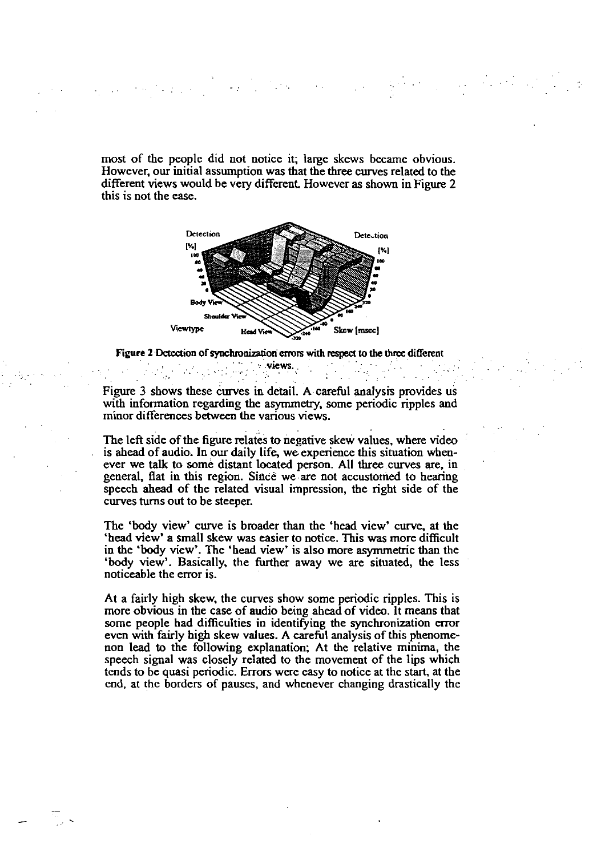most of the people did not notice it; large skews becarne obvious. However. our initial assumption was that the **three** cwes related to the different views would be very different However as shown in Figure 2 this is not the ease.





Figure 3 shows these curves in detail. A careful analysis provides us with information regarding the asymmetry, some periodic ripples and minor differences between the various views.

The left side of the figure relates to negative skew values, where video is ahead of audio. In our daily life, we experience this situation whenever we talk to some distant located person. All three curves are, in general, flat in this region. Since we are not accustorned to hearing speech ahead of the related visual impression, the right side of the curves **tums** out to be steeper.

The 'body view' curve is broader than the 'head view' curve, at the 'head view' a small skew was easier to notice. This **was** more difficult in the 'body view'. The 'head view' is also more asymmetric than the 'body view'. Basically. the fiuther away we are situated, the less noticeable the error is.

At a fairly high skew, the curves show some periodic ripples. This is more obvious in the case of audio being ahead of video. It means that some people had difficulties in identifying the synchronization error even with fairly high skew values. A careful analysis of this phenomenon lad **to** the following explanation; At the relative minima, the speech signal was closely related to the movement of the lips which tends to be quasi periodic. Errors were easy to notice at the start, at the end, at the borders of pauses, and whenever changing drastically the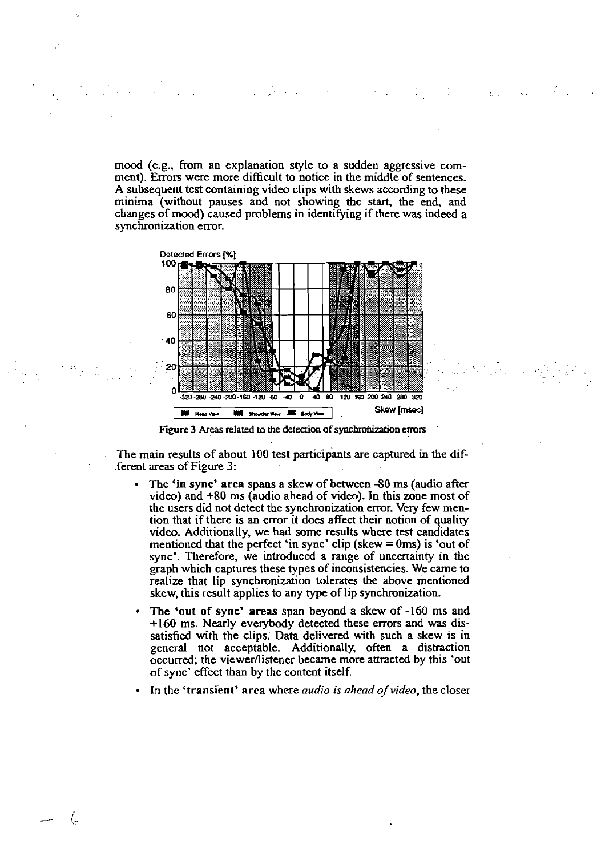mood (e.g., from an explanation style to a sudden aggressive comment). Errors were more difficult to notice in the middle of sentences. A subsequent test containing video clips with skews according to these minima (without pauses and not showing thc Start, the end, and changes of mood) caused problems in identifying if there was indeed a synchronization error.



Figure 3 Areas related to the detection of synchronization errors

The main results of about 100 test participants are captured in the different **areas** of Figure 3:

- The 'in sync' area Spans a skew of between -80 **ms** (audio after video) and +80 ms (audio ahead of video). In this zone most of the Users did not detect the synchronization error. Very few mention that if there is **an** error it does affect their notion of quality video. Additionally, we had some results where test candidates mentioned that the perfect 'in sync' clip (skew  $= 0$ ms) is 'out of sync'. Therefore, we introduced a range of uncertainty in the graph which captures these types of inconsistencies. We came to realize that lip synchronization tolerates the above mentioned skew, this result applies to any type of lip synchronization.
- The 'out of sync' areas span beyond a skew of -160 ms and +I60 ms. Nearly everybody detected these errors and was dissatisfied with the clips. Data delivered with such a skew is in general not acceptable. Additionally, often a distraction occurred; the viewerAistener became more attracted by this 'out of sync' effect than by the content itself.
- In the 'transient' area where *audio* **is** *aliead of video.* the closer

 $\left( - \right)$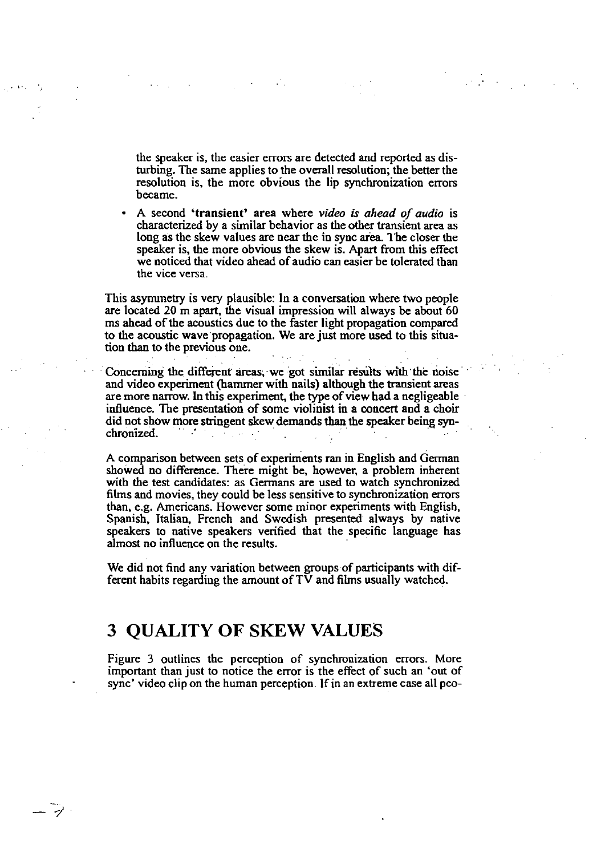the speaker is, the easier errors are detected and reported as disturbing. The Same applies to the overall resolution; the better the resolution is. the more obvious the lip synchronization errors became.

- A second 'transient' area where **video** ir ahead of **audio** is characterized by a similar hehavior as the other trarisient **area** as long as the skew values are near the in sync area. The closer the speaker is, the more obvious the skew is. Apart from this effect we noticed that video ahead of audio can easier be tolerated than the vice versa.

This asymmetry is very plausible: In a conversation where two people are located 20 m apart, the visual impression will always be about 60 ms ahead of the acoustics due to the faster light propagation compared **to** the acoustic wave 'propagation. We are just more **used** to this situation than to the previous one.

Concerning the different areas, we got similar results with the noise and video experiment (hammer with nails) although the transient areas are more narrow. In this experiment. the type of view had a negligeable infiuence. The presentaiion of some violinist **in** a **coacert** and a choir did not show more stringent skew demands than the speaker being syn-<br>chronized.

:

A comparison between sets of experiments ran in English and German showed no difference. There might be, however, a problem inherent with the test candidates: as Germans are used to watch synchronized films and movies, they could be less sensitive to synchronization errors than. e.g. Americans. However some minor experiments with Englisb, Spanish, Italian, French and Swedish presented always by native speakers to native speakers venfied that the specific language has almost no influence on the results.

We did not find any variation between groups of participants with different habits regarding the amount of TV and films usually watched.

#### **3 QUALITY OF SKEW VALUES**

 $\rightarrow$ 

Figure 3 outlines the perception of synchronization errors. More important than just to notice the error is the effect of such an 'out of sync' video clip on the human perception. If in an extreme case all peo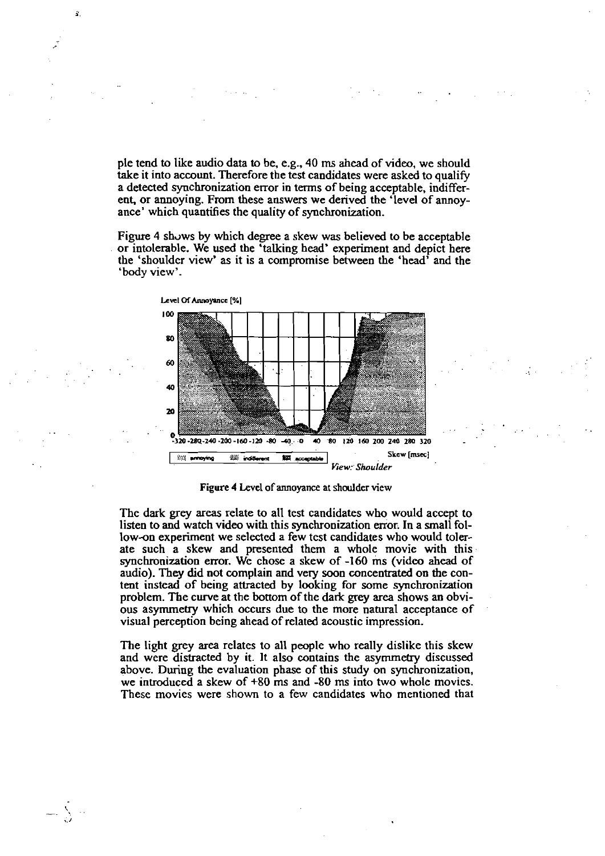ple tend to like audio data **to** be, e.g., 40 **ms** ahead of video, we should take it into account. Therefore the test candidates were asked to qualify a detected synchronization error in terms of being acceptable, indifferent, or annoying. From these answers we derived the 'level of annoyance' which quantifies the quality of synchronization.

 $\mathcal{Q}$ 

Figure 4 shows by which degree a skew was believed to be acceptable or intolerable. We used the 'taking head' experiment and depict here the 'shoulder view' as it is a compromise between the 'head' and the 'body view'.



Figure 4 Level of annoyance at shoulder view

The dark grey areas relate to all test candidates who would accept to listen to and watch video with this synchronization error. In a small follow-on experiment we selected a few test candidates who would tolerate such a skew and presented them a whole movie with this synchronization error. We chose a skew of **-160** ms (video ahead of audio). They did not complain and very soon concentrated on the content instead of being attracted by looking for some synchronization problem. Tbe curve at the bottom of the dark grey **area** shows an obvious asymmetry which occurs due to the more natural acceptance of visual perception being ahead of related acoustic impression.

The light grey **area** relates to all people who really dislike this skew and were distracted by it. It also contains the asymmetry discussed above. During the evaluation phase of this study on synchronization, we introduced a skew of **+80** rns and **-80** ms into two whole movies. These movies were shown to a few candidates who mentioned that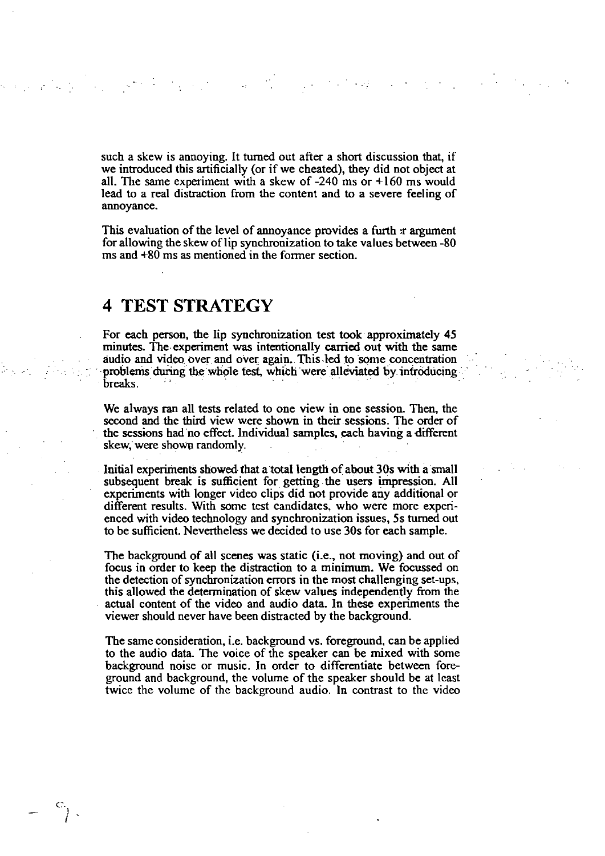such a skew is annoying. It turned out after a short discussion that, if we introduced this artificially (or if we cheated), they did not object at all. The same experiment with a skew of  $-240$  ms or  $+160$  ms would lead to a real distraction from the content and to a severe feeling of annoyance.

This evaluation of the level of annoyance provides a furth r argument for allowing the skew of lip synchronization to take values between -80 ms and +80 ms **as** mentioned in the former section.

#### **4 TEST STRATEGY**

For each person, the Iip synchronization test took approximately 45 minutes. The experiment was intentionally carried out with the same audio and video over and over again. This led to some concentration<br>problems during the whole test, which were alleviated by introducing **breaks**.

We always ran all tests related **to** one view in one session. Then, the second and the third view were shown in their sessions. The order of the sessions had no effect. Individual sarnples. each having a different skew, were shown randomly.

Initial experiments showed that a total length of about 30s with a small subsequent break is sufficient for getting the users impression. All experiments with longer video clips did not provide any additional or different results. With some test candidates, who were more experienced with video technology and synchronization issues. 5s turned out to be sufficient. Nevertheless we decided to use 30s for each sample.

The background of all scenes was static (i.e., not moving) and out of focus in order to keep the distraction to a minimum. We focussed on the detection of synchronization errors in the most challenging set-ups, this allowed the determination of skew values independently from the actual content of the video and audio data. In these experiments the viewer should never have been distracted by the background.

The same consideration, i.e. background vs. foreground. can be applied to the audio data. The voice of the speaker can be mixed with some background noise or music. In order to differentiate between foreground and background, the volume of the speaker should be at least twice the volume of the background audio. In contrast to the video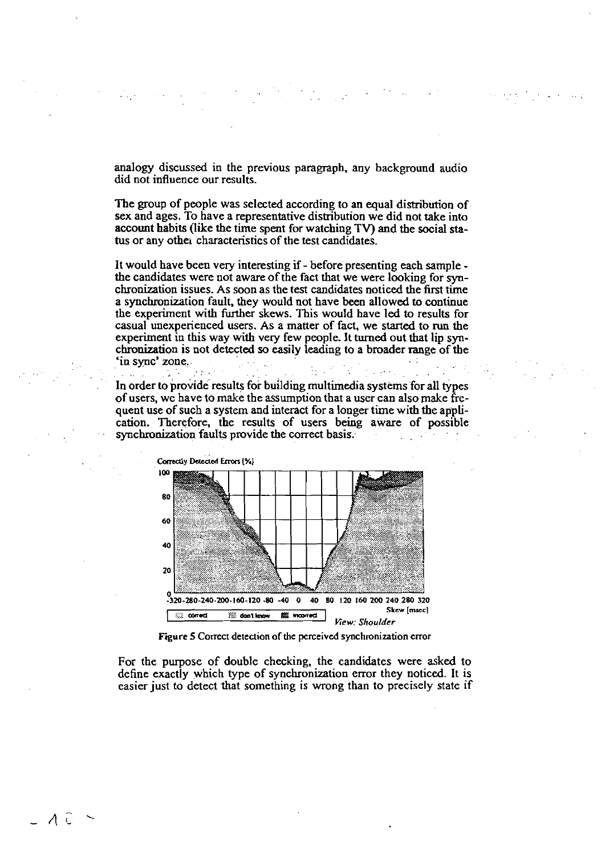analogy discussed in the previous paragraph, any background audio did not influence our results.

The group of people was selected according to an equal distribution of Sex and ages. To have a representative distribution we did not take into account habits (like the time spent for watching TV) and the social status or any othei charactenstics of the test candidates.

It would have been very interesting if - before presenting each sample the candidates were not aware of the fact that we were looking for synchronization issues. As soon as the test candidates noticed the first time a synchronization fault, they would not have been allowed **to** continue the experiment with further skews. This would have led to results for casual unexpenenced users. As a matter of fact. we started to run the experiment in this way with very few people. It tumed out that lip synchronization is not detected so easily leading to a broader range of the 'in sync' zone.

In order to provide results for building multimedia Systems for all types of users, we have to make the assumption that a user can also make frequent use of such a system and interact for a longer time with the application. Therefore. the results of users being aware of possible synchronization faults provide the correct basis.



**Figure 5** Correct detection of the perceived synchronization error

For the purpose of double checking, the candidates were asked to define exactly which type of synchronization error they noticed. It is easier just to detect that something is wrong than to precisely state if

ΛŨ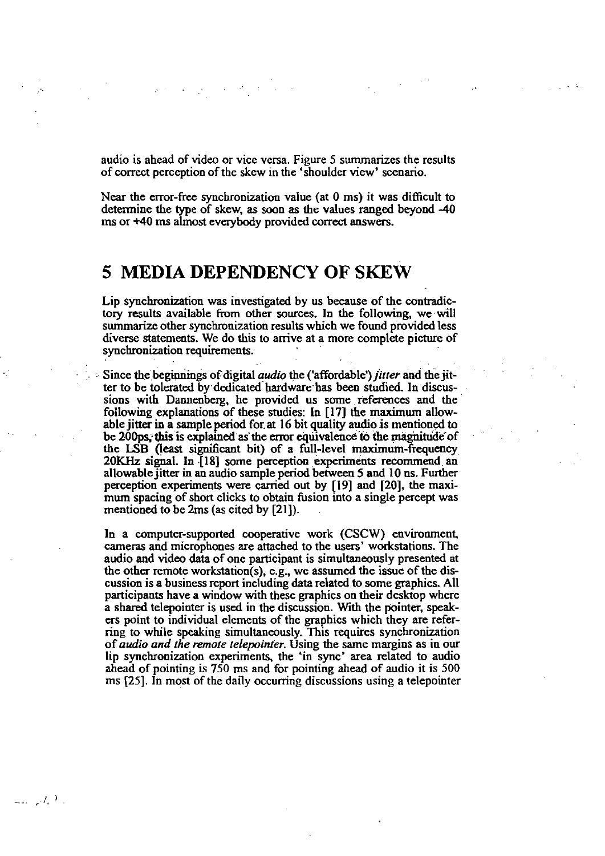audio is ahead of video or vice versa. Figure 5 summarizes the results of correct perception of the skew in the 'shoulder view' scenario.

**Near** the error-free syncbronization value (at 0 ms) it was difficult to determine the type of skew, as soon as the values ranged beyond -40 **ms** or +40 **ms** aimost everybody provided correct answers.

# **5 MEDIA DEPENDENCY OF SKEW**

Lip synchronization was investigated by us because of the contradictory results available from other sources. In the following. we will summarize other syncbronization results which we found provided less diverse statements. We do this to arrive at a more complete picture of synchronization requirements.

Since the beginnings of digital **audio** the ('affordable') **jiffer** and the jitter to be tolerated by dedicated hardware has been studied. In discussions with Damenberg, he provided us some references and the following explanations of these studies: In [17] the maximum allowable jitter in a sample penod for. at 16 bit quality audio is mentioned to be 200ps; this is explained as the error equivalence to the magnitude of the **LSB** (least significant bit) of a full-level maximum-fiequency 20KHz signal. In [18] some perception experiments recommend an allowable jitter in an audio sample period between 5 and 10 ns. Further perception experiments were carried out by [19] and [20], the maximum spacing of short clicks to obtain fusion into a single percept was mentioned to be 2ms (as cited by [21]).

In a computer-supported cooperative work (CSCW) environment, cameras and microphones are attached to the users' workstations. The audio and video data of one participant is simultaneously presented at the other remote workstation(s). e.g.. we assumed the issue of the discussion is a business report including data related to some graphics. All participants have a window with these graphics on theü desktop where a shared telepointer is used in the discussion. With the pointer, speakers point to individual elements of the graphics which-they are referring to while speaking simultaneously. This requües syncbronization of **audio und fhe remofe felepoinfer.** Using the sarne margins **as** in our lip syncbronization experiments. the 'in sync' area related to audio ahead of pointing is 750 ms and for pointing ahead of audio it is 500 ms [25]. In most of the daily occurring discussions using a telepointer

 $\mathbb{L} \times \mathbb{Z}^{(1)}$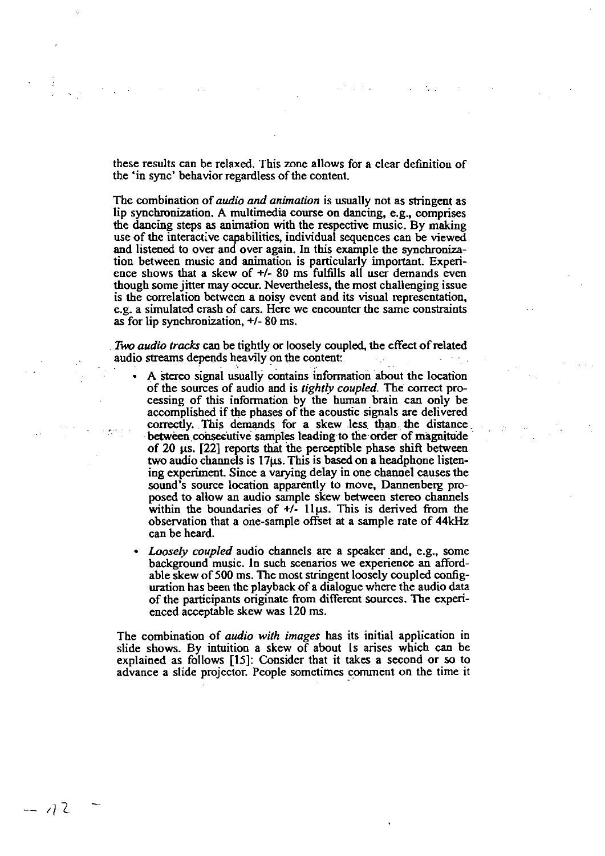these results can be relaxed. This Zone allows for a clear definition of the 'in sync' behavior regardless of the content.

The cornbination of *audio und animation* is usually not **as** stringent **as**  lip synchronization. A multimedia course on dancing, e.g., comprises the dancing steps **as** animation with the respective rnusic. By rnaking use of the interactive capabilities, individual sequences can be viewed and listened to over and over again. In this example the synchronization between rnusic and animation is parricularly important. Expenence shows that a skew of  $+/-$  80 ms fulfills all user demands even though some jitter may occur. Nevertheless. the rnost challenging issue is the correlation between a noisy event and its visual representation. e.g. a simulated crash of cars. Here we encounter the same constraints **as** for lip synchronization, +I- **80** ms.

*Two audio tracks* can be tightly or loosely coupled, the effect of related audio *streams* depends heavily on the content:

- A stereo signal usually contains information about the location of the sources of audio and is *tightly coupled*. The correct processing of this information by the human brain can only be accomplished if the phases of the acoustic signals are delivered correctly. This demands for a skew less than the distance between consecutive samples leading to the order of magnitude of  $20 \mu s$ . [22] reports that the perceptible phase shift between two audio channels is 17us. This is based on a headphone listening experiment Since a varying delay in one channel causes the sound's source location apparently to move. Dannenberg proposed to allow an audio sample skew between stereo channels within the boundaries of  $+/-$  11 $\mu$ s. This is derived from the observation that a one-sample offset at a sample rate of 44kHz can be heard.
- *Loosely coupled* audio channels **are** a speaker and. e.g., some background music. In such scenarios we experience an affordable skew of 500 ms. The most stringent loosely coupled configuration has been the playback of a dialogue where the audio **data**  of the participants onginate Frorn different sources. The expenenced acceptable skew was 120 **ms.**

The cornbination of *audio with images* **has** its initial application in slide shows. By intuition a skew of about Is arises which can be explained as follows **[15]:** Consider that it **takes** a second or so to advance a slide projector. People sometimes comment on the time it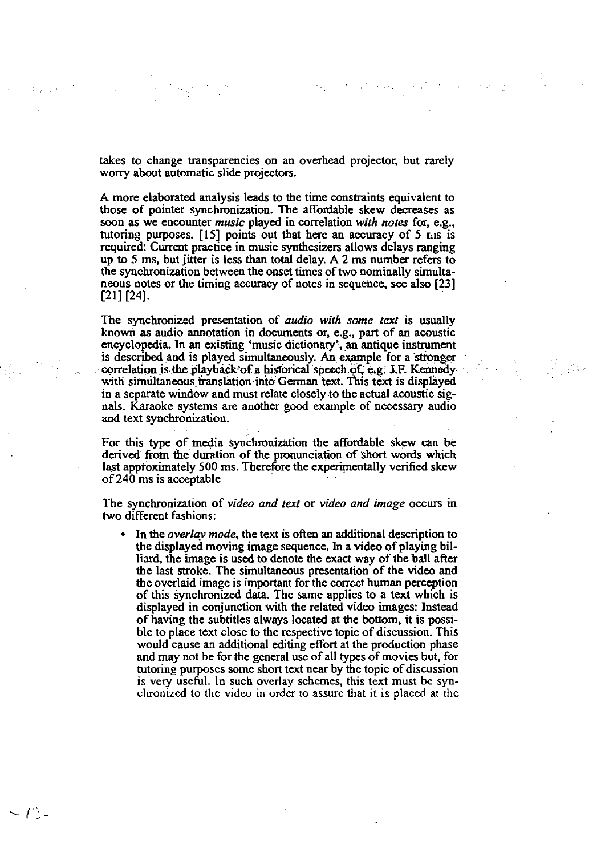takes to change transparencies on an overhead projector, but rarely worry about automatic slide projectors.

A more elaborated analysis leads to the time constraints equivalent to those of pointer synchronization. The affordable skew decreases as soon as we encounter *music* played in correlation with notes for, e.g., tutoring purposes.  $[15]$  points out that here an accuracy of 5  $r_{11}$  is required: Current practice in music synthesizers allows delays ranging up to 5 ms, but jitter is less than total delay. **A** 2 **ms** number refers to the synchronization between the onset times of two nominally simultaneous notes or the timing accuracy of notes in sequence, see also [23]  $[21] [24]$ .

The synchronized presentation of **audio with some text** is usually known as audio annotation in documents or, e.g., part of an acoustic encyclopedia. In an existing 'music dictionary', an antique instrument is described and is played simultaneously. An example for a stronger correlation is the playback of a historical speech of, e.g. J.F. Kennedy with simultaneous translation into German text. This text is displayed in a separate window and must relate closely to the actual acoustic signals. Karaoke Systems are another good example of necessary audio and text synchronization.

For this type of media synchronization the affordable skew can be derived **from** the duration of the pronunciation of short words which last approximately 500 **ms.** Therefore the experimentally verified skew of 240 ms is acceptable

The synchronization of **video und** *terl* or **video und image** occurs in two different fashions:

In the **overlav mode.** the text is often an additional descnption to the displayed moving image sequence. In a video of playing billiard, the image is used to denote the exact way of the ball afier the last stroke. The simultaneous presentation of the video and the overlaid image is irnportant for the correct human perception of this synchronized data. The sarne applies to a text which is displayed in conjunction with the related video images: Instead of having the subtitles always located at the bottom, it is possible to place text close to the respective topic of discussion. This would cause an additional editing effort at the production phase and may not be for the general use of all types of movies but. for tutoring purposes some short text near by the topic of discussion is very useful. In such overlay schernes, this text must he synchronized to the video in order to assure that it is placed at the

 $\cdot$  /  $\degree$  –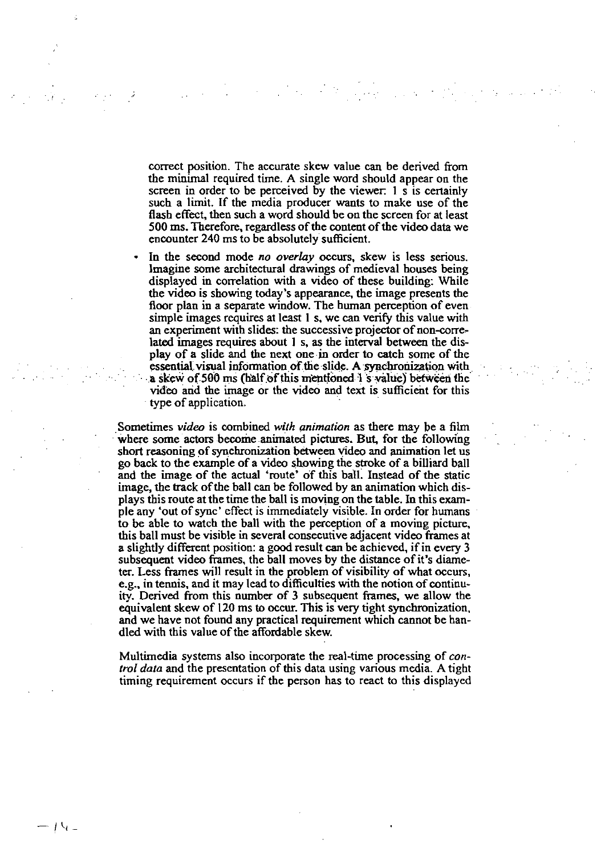correct position. The accurate skew value can be derived from the minimal required time. A single word should appear on the screen in order to be perceived by the viewer. 1 s is certainly such a limit. If the media producer wants to make use of the flash effect, then such a word should be on the screen for at least 500 ms. Therefore, regardless of the content of the video data we encounter 240 ms to be absolutely sufficient.

In the second mode no overlay occurs, skew is less serious. Imagine some architectural drawings of medieval houses being displayed in correlation with a video of these building: While the video is showing today's appearance, the image presents the floor plan in a separate window. The human perception of even simple images requires at least 1 s, we can verify this value with an experiment with slides: the successive projector of non-correlated images requires about 1 s, as the interval between the display of a slide and the next one in order to catch some of the essential visual information of the slide. A synchronization with a skew of 500 ms (half of this mentioned 1 s value) between the video and the image or the video and text is sufficient for this type of application.

Sometimes video is combined with animation as there may be a film where some actors become animated pictures. But, for the following short reasoning of synchronization between video and animation let us go back to the example of a video showing the stroke of a billiard ball and the image of the actual 'route' of this ball. Instead of the static image, the track of the ball can be followed by an animation which displays this route at the time the ball is moving on the table. In this example any 'out of sync' effect is immediately visible. In order for humans to be able to watch the ball with the perception of a moving picture, this ball must be visible in several consecutive adjacent video frames at a slightly different position: a good result can be achieved, if in every 3 subsequent video frames, the ball moves by the distance of it's diameter. Less frames will result in the problem of visibility of what occurs, e.g., in tennis, and it may lead to difficulties with the notion of continuity. Derived from this number of 3 subsequent frames, we allow the equivalent skew of 120 ms to occur. This is very tight synchronization. and we have not found any practical requirement which cannot be handled with this value of the affordable skew.

Multimedia systems also incorporate the real-time processing of con*trol data* and the presentation of this data using various media. A tight timing requirement occurs if the person has to react to this displayed

- アトー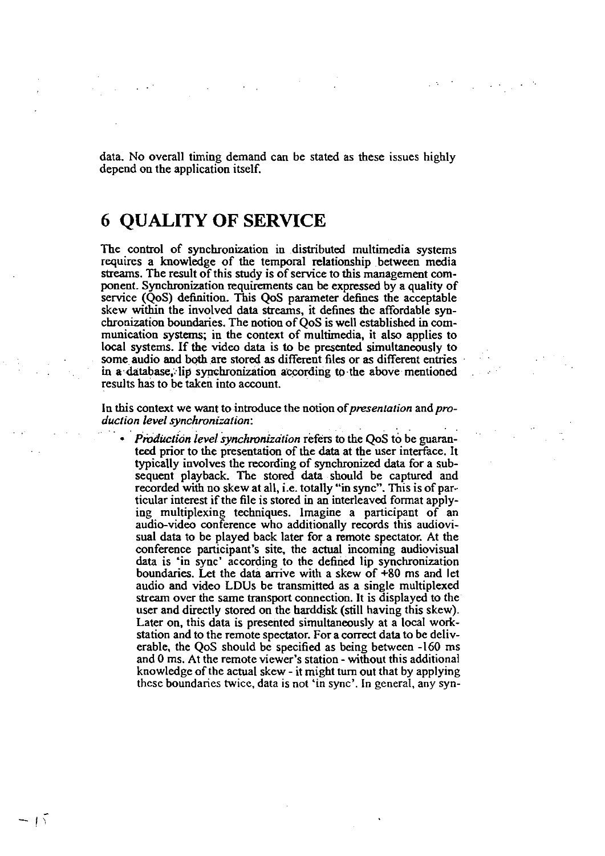data. No overall timing dernand can be stated as these issues highly depend on the application itself.

# *6* **QUALITY OF SERVICE**

 $\rightarrow$ 

The control of synchronization in distributed multimedia systems requires a knowledge of the temporal relationship between rnedia streams. The result of this study is of service to this management component. Synchronization requirements can be expressed by a quality of  $s$ ervice ( $\overline{Q}$ oS) definition. This  $Q$ oS parameter defines the acceptable skew within the involved data streams, it defines the affordable synchronization boundaries. The notion of QoS is well established in wmmunication systems; in the context of multimedia, it also applies to local systems. If the video data is **to** be presented sirnultaneously to some audio and both are stored as different files or as different entries in **a** btabase,. lip synchronizatioa acwrding **to** the above rnentioned results has to be taken into account.

In this context we want to introduce the notion of *presentation* and *pro*duction level synchronization:

Pmduciion level synchmnizafion refers **to** the QoS to be guaranteed prior to the presentation of the data at the user interface. It typically involves the recording of synchronized data for a subsequent playback. The stored data should be captured and recorded with no skew at all, i.e. totally "in sync". This is of particular interest if the file is stored in an interleaved format applying multiplexing techniques. Imagine a participant of an audio-video conference who additionally records this audiovisual data to be played back later for a rernote spectator. At the conference participant's site, the actual incorning audiovisual data is 'in sync' according to the defined lip synchronization boundaries. Let the data arrive with a skew of  $+80$  ms and let audio and video LDUs be transmitted as a single multiplexed stream over the Same transport connection. It is displayed to the user and directly stored on the harddisk (still having this skew). Later on, this data is presented simultaneously at a local workstation and to the remote spectator. For a correct data to be deliverable, the QoS should be specified as being between -160 ms and 0 ms. At the remote viewer's station - without this additional knowledge of the actual skew - it rnight turn out that by applying these boundaries twice. data is not 'in sync'. In general, any syn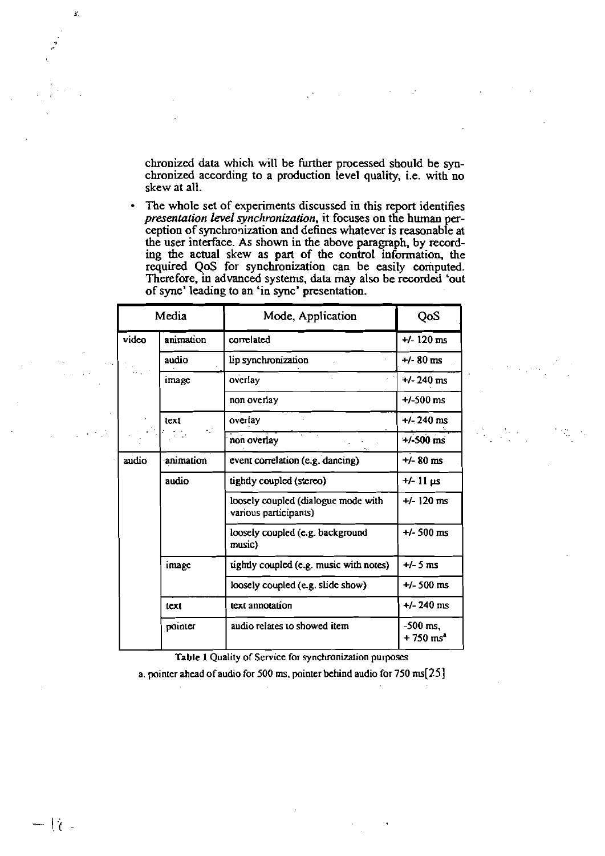chronized data which will be further processed should be synchronized according to a production level quality, i.e. with no skew at alt.

The whole set of experiments discussed in this report identifies  $\bullet$ *presenlalion level synclimnization,* it focuses on the human perception of synchronization and defines whatever is reasonable at the user interface. As shown in the above paragraph, by recording the actual skew **as** part of the control infonnation, the required QoS for synchronization can be easily computed. Therefore. in advanced Systems, data may also be recorded 'out of sync' leading to an 'in sync' presentation.

| Media |           | Mode, Application                                            | QoS                                  |
|-------|-----------|--------------------------------------------------------------|--------------------------------------|
| video | animation | correlated                                                   | $+/- 120$ ms                         |
|       | audio     | lip synchronization                                          | $+/- 80$ ms                          |
|       | image     | overlay                                                      | $+/- 240$ ms                         |
|       |           | non overlay                                                  | $+/-500$ ms                          |
|       | text<br>Ψ | overlay                                                      | $+/- 240$ ms                         |
|       |           | non overlay                                                  | $+/-500$ ms                          |
| audio | animation | event correlation (e.g. dancing)                             | $+/-$ 80 ms                          |
|       | audio     | tightly coupled (stereo)                                     | x -11 +/-                            |
|       |           | loosely coupled (dialogue mode with<br>various participants) | $+/- 120$ ms                         |
|       |           | loosely coupled (e.g. background<br>music)                   | $+/-$ 500 ms                         |
|       | image     | tightly coupled (e.g. music with notes)                      | $+/- 5$ ms                           |
|       |           | loosely coupled (e.g. slide show)                            | $+/- 500$ ms                         |
|       | text      | text annotation                                              | $+/- 240$ ms                         |
|       | pointer   | audio relates to showed item                                 | $-500$ ms,<br>$+750$ ms <sup>2</sup> |

Table 1 Quality of Service for synchronization purposes

a. pointer ahead of audio for 500 ms, pointer behind audio for 750 ms[25]

¥,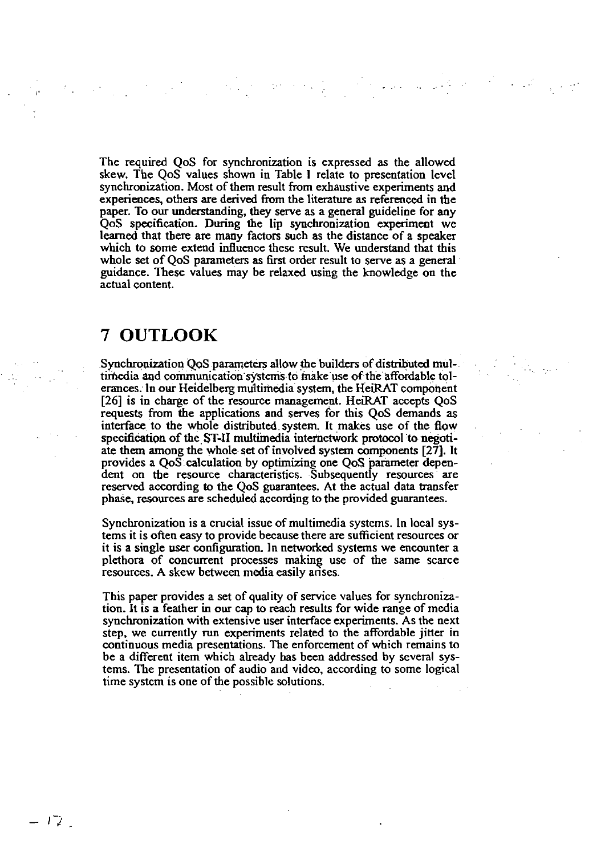The required QoS for synchronization is expressed as the allowed skew. The QoS values shown in Table 1 relate to presentation level synchronization. Most of them result from exhaustive experiments and experiences, others are derived from the literature as referenced in the paper. To our understanding, they serve as a general guideline for **any**  QoS specification. During the lip synchronization experiment we leamed that there **are** maay factors such as the distance of a speaker which to some extend influence these result. We understand that this whole set of OoS parameters as first order result to serve as a general guidance. These values may be relaxed using the howledge on the actual content.

### **7 OUTLOOK**

コマー

Synchronization QoS parameters allow the builders of distributed multunedia and communicatiou systems to make use of the affordable tolerances. In our Heidelberg mültimedia system. the HeiRAT component **[26]** is in charge of the resource management. HeiRAT accepts QoS requests from the applications and serves for this QoS demands as interface to the whole distributed system. It makes use of the flow specification of the ST-I1 rnultimedia internetwork protocol **to** negotiate them among the whole **set** of involved system components **[27].** It provides a QoS calculation by optimizing one QoS Parameter dependent on the resource characteristics. Subsequently resources are reserved according **to** the QoS guarantees. At the actual data transfer pbase, resources are scheduled according to the provided guarantees.

Synchronization is a crucial issue of multimedia systems. In local systems it is often easy to provide because there are sufficient resources or it is a single User configuration. In networked systems we encounter a plethora of concurrent processes making use of the same scarce resources. A skew between media easily arises.

This paper provides a set of quality of service values for synchronization. It is a feather in our cap to reach results for wide range of media synchronization with extensive user interface experiments. As the next step, we currently run experiments related to the affordable jitter in continuous media presentations. The enforcement of which remains to be a different item which already bas been addressed by several systems. The presentation of audio and video, according to some logical time systcm is one of the possible solutions.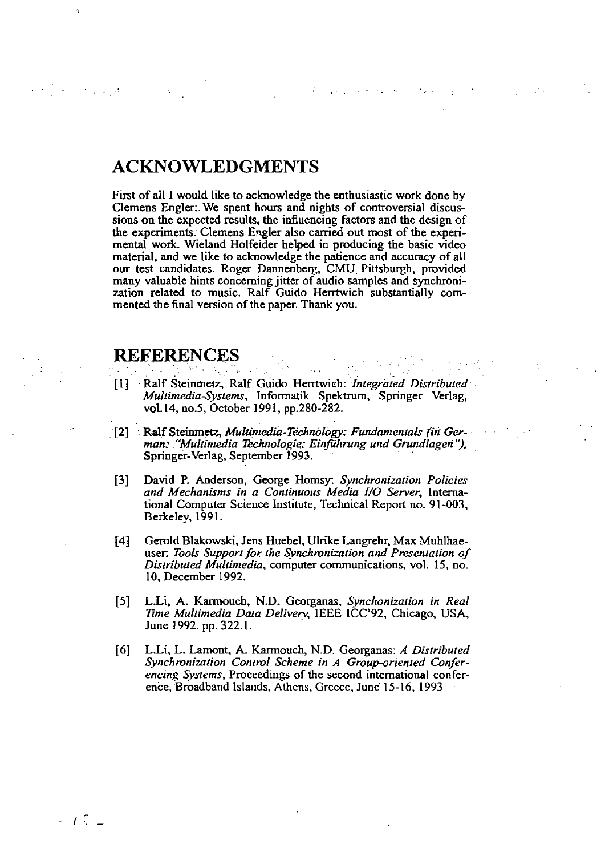# **ACKNOWLEDGMENTS**

First of all I would like to acknowledge the enthusiastic work done by Clemens Engler: We spent hours and nights of controversial discussions on the expected results, the influencing factors and the design of the experiments. Clemens Engler also carried out most of the experimental work. Wieland Holfeider helped in producing the basic video material, and we like to acknowledge the patience and accuracy of all our test candidates. Roger Dannenberg, CMU Pittsburgh, provided many valuable hints concerning jitter of audio samples and synchronization related to music. Ralf Guido Herrtwich substantially commented the final version of the paper. Thank you.

#### **REFERENCES**  $\mathcal{F}^{\mathcal{G}}_{\mathcal{G}}(x)$  and  $\mathcal{F}^{\mathcal{G}}_{\mathcal{G}}(x)$  and

- $\label{eq:2.1} \frac{1}{\sqrt{2}}\left(\frac{1}{\sqrt{2}}\right)^{2} \left(\frac{1}{\sqrt{2}}\right)^{2} \left(\frac{1}{\sqrt{2}}\right)^{2}$ [1] Ralf Steinmetz, Ralf Guido Herrtwich: Integrated Distributed Multimedia-Systems, Informatik Spektrum, Springer Verlag, vol.14, no.5, October 1991, pp.280-282.
- [2] Ralf Steinmetz, Multimedia-Technology: Fundamentals (in German: "Multimedia Technologie: Einführung und Grundlagen"). Springer-Verlag, September 1993.
- David P. Anderson, George Homsy: Synchronization Policies  $[3]$ and Mechanisms in a Continuous Media I/O Server, International Computer Science Institute, Technical Report no. 91-003, Berkeley, 1991.
- $[4]$ Gerold Blakowski, Jens Huebel, Ulrike Langrehr, Max Muhlhaeuser. Tools Support for the Synchronization and Presentation of Distributed Multimedia, computer communications, vol. 15, no. 10. December 1992.
- $[5]$ L.Li, A. Karmouch, N.D. Georganas, Synchonization in Real Time Multimedia Data Delivery, IEEE ICC'92, Chicago, USA, June 1992. pp. 322.1.
- $[6]$ L.Li, L. Lamont, A. Karmouch, N.D. Georganas: A Distributed Synchronization Control Scheme in A Group-oriented Conferencing Systems, Proceedings of the second international conference, Broadband Islands, Athens, Greece, June 15-16, 1993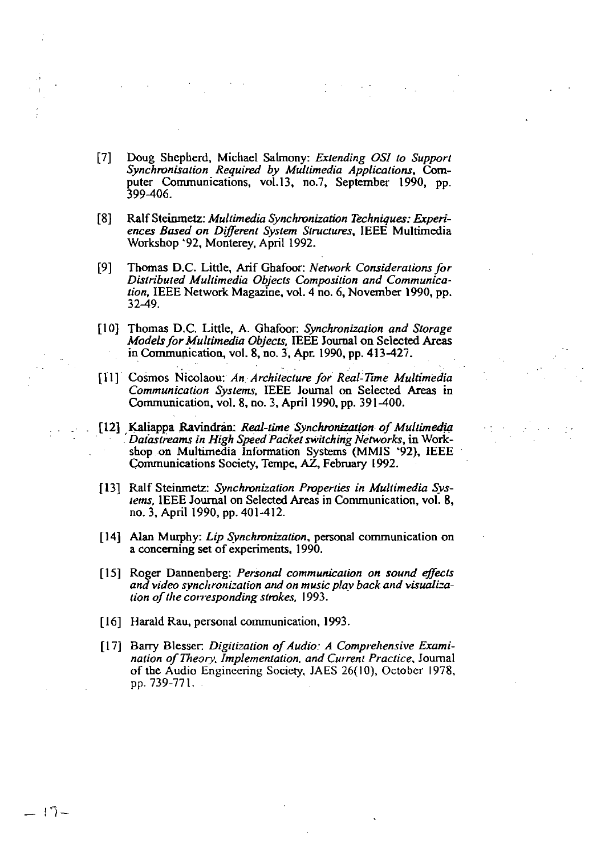- $[7]$ Doug Shepherd, Michael Salmony: Extending OSI to Support Synchronisation Required by Multimedia Applications, Computer Communications, vol.13, no.7, September 1990, pp.  $399 - 406.$
- $\sqrt{8}$ Ralf Steinmetz: Multimedia Synchronization Techniques: Experiences Based on Different System Structures, IEEE Multimedia Workshop '92, Monterey, April 1992.
- $[9]$ Thomas D.C. Little, Arif Ghafoor: Network Considerations for Distributed Multimedia Objects Composition and Communication, IEEE Network Magazine, vol. 4 no. 6, November 1990, pp.  $32-49.$
- [10] Thomas D.C. Little, A. Ghafoor: Synchronization and Storage Models for Multimedia Objects, IEEE Journal on Selected Areas in Communication, vol. 8, no. 3, Apr. 1990, pp. 413-427.
- [11] Cosmos Nicolaou: An Architecture for Real-Time Multimedia Communication Systems, IEEE Journal on Selected Areas in Communication, vol. 8, no. 3, April 1990, pp. 391-400.
- [12] Kaliappa Ravindran: Real-time Synchronization of Multimedia Datastreams in High Speed Packet switching Networks, in Workshop on Multimedia Information Systems (MMIS '92), IEEE Communications Society, Tempe, AZ, February 1992.
- [13] Ralf Steinmetz: Synchronization Properties in Multimedia Systems, IEEE Journal on Selected Areas in Communication, vol. 8, no. 3, April 1990, pp. 401-412.
- [14] Alan Murphy: Lip Synchronization, personal communication on a concerning set of experiments, 1990.
- [15] Roger Dannenberg: Personal communication on sound effects and video synchronization and on music play back and visualization of the corresponding strokes, 1993.
- [16] Harald Rau, personal communication, 1993.

- 17-

[17] Barry Blesser: Digitization of Audio: A Comprehensive Examination of Theory, Implementation, and Current Practice, Journal of the Audio Engineering Society, JAES 26(10), October 1978, pp. 739-771.